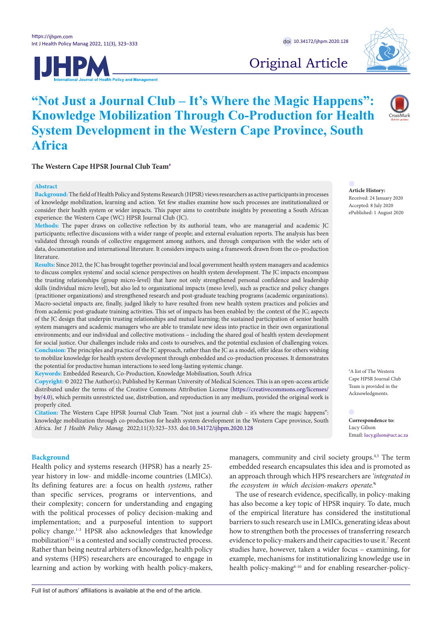



Original Article

# **"Not Just a Journal Club – It's Where the Magic Happens": Knowledge Mobilization Through Co-Production for Health System Development in the Western Cape Province, South Africa**

The Western Cape HPSR Journal Club Team<sup>#</sup>

## **Abstract**

**Background:** The field of Health Policy and Systems Research (HPSR) views researchers as active participants in processes of knowledge mobilization, learning and action. Yet few studies examine how such processes are institutionalized or consider their health system or wider impacts. This paper aims to contribute insights by presenting a South African experience: the Western Cape (WC) HPSR Journal Club (JC).

**Methods:** The paper draws on collective reflection by its authorial team, who are managerial and academic JC participants; reflective discussions with a wider range of people; and external evaluation reports. The analysis has been validated through rounds of collective engagement among authors, and through comparison with the wider sets of data, documentation and international literature. It considers impacts using a framework drawn from the co-production literature.

**Results:** Since 2012, the JC has brought together provincial and local government health system managers and academics to discuss complex systems' and social science perspectives on health system development. The JC impacts encompass the trusting relationships (group micro-level) that have not only strengthened personal confidence and leadership skills (individual micro level), but also led to organizational impacts (meso level), such as practice and policy changes (practitioner organizations) and strengthened research and post-graduate teaching programs (academic organizations). Macro-societal impacts are, finally, judged likely to have resulted from new health system practices and policies and from academic post-graduate training activities. This set of impacts has been enabled by: the context of the JC; aspects of the JC design that underpin trusting relationships and mutual learning; the sustained participation of senior health system managers and academic managers who are able to translate new ideas into practice in their own organizational environments; and our individual and collective motivations – including the shared goal of health system development for social justice. Our challenges include risks and costs to ourselves, and the potential exclusion of challenging voices. **Conclusion:** The principles and practice of the JC approach, rather than the JC as a model, offer ideas for others wishing to mobilize knowledge for health system development through embedded and co-production processes. It demonstrates the potential for productive human interactions to seed long-lasting systemic change.

**Keywords:** Embedded Research, Co-Production, Knowledge Mobilisation, South Africa

**Copyright:** © 2022 The Author(s); Published by Kerman University of Medical Sciences. This is an open-access article distributed under the terms of the Creative Commons Attribution License [\(https://creativecommons.org/licenses/](http://creativecommons.org/licenses/by/4.0) [by/4.0\)](http://creativecommons.org/licenses/by/4.0), which permits unrestricted use, distribution, and reproduction in any medium, provided the original work is properly cited.

**Citation:** The Western Cape HPSR Journal Club Team. "Not just a journal club – it's where the magic happens": knowledge mobilization through co-production for health system development in the Western Cape province, South Africa. *Int J Health Policy Manag.* 2022;11(3):323–333. doi[:10.34172/ijhpm.2020.128](https://doi.org/10.34172/ijhpm.2020.128)

## **Background**

Health policy and systems research (HPSR) has a nearly 25 year history in low- and middle-income countries (LMICs). Its defining features are: a focus on health *systems*, rather than specific services, programs or interventions, and their complexity; concern for understanding and engaging with the political processes of policy decision-making and implementation; and a purposeful intention to support policy change.1-3 HPSR also acknowledges that knowledge mobilization<sup>[1]</sup> is a contested and socially constructed process. Rather than being neutral arbiters of knowledge, health policy and systems (HPS) researchers are encouraged to engage in learning and action by working with health policy-makers, managers, community and civil society groups.<sup>4,5</sup> The term embedded research encapsulates this idea and is promoted as an approach through which HPS researchers are *'integrated in the ecosystem in which decision-makers operate.'*<sup>6</sup>

The use of research evidence, specifically, in policy-making has also become a key topic of HPSR inquiry. To date, much of the empirical literature has considered the institutional barriers to such research use in LMICs, generating ideas about how to strengthen both the processes of transferring research evidence to policy-makers and their capacities to use it.7 Recent studies have, however, taken a wider focus – examining, for example, mechanisms for institutionalizing knowledge use in health policy-making<sup>8-10</sup> and for enabling researcher-policy-

**Article History:** Received: 24 January 2020 Accepted: 8 July 2020 ePublished: 1 August 2020

<span id="page-0-0"></span># A list of The Western Cape HPSR Journal Club Team is provided in the Acknowledgments.

<span id="page-0-1"></span>**Correspondence to:** Lucy Gilson Email: lucy.gilson@uct.ac.za

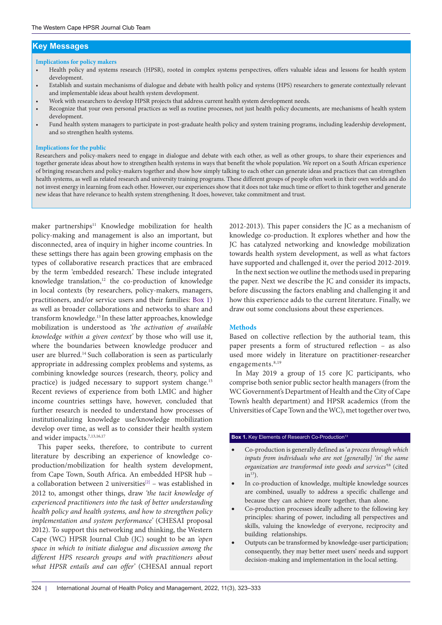## **Key Messages**

#### **Implications for policy makers**

- Health policy and systems research (HPSR), rooted in complex systems perspectives, offers valuable ideas and lessons for health system development.
- Establish and sustain mechanisms of dialogue and debate with health policy and systems (HPS) researchers to generate contextually relevant and implementable ideas about health system development.
- Work with researchers to develop HPSR projects that address current health system development needs.
- Recognize that your own personal practices as well as routine processes, not just health policy documents, are mechanisms of health system development.
- Fund health system managers to participate in post-graduate health policy and system training programs, including leadership development, and so strengthen health systems.

#### **Implications for the public**

Researchers and policy-makers need to engage in dialogue and debate with each other, as well as other groups, to share their experiences and together generate ideas about how to strengthen health systems in ways that benefit the whole population. We report on a South African experience of bringing researchers and policy-makers together and show how simply talking to each other can generate ideas and practices that can strengthen health systems, as well as related research and university training programs. These different groups of people often work in their own worlds and do not invest energy in learning from each other. However, our experiences show that it does not take much time or effort to think together and generate new ideas that have relevance to health system strengthening. It does, however, take commitment and trust.

maker partnerships<sup>11</sup> Knowledge mobilization for health policy-making and management is also an important, but disconnected, area of inquiry in higher income countries. In these settings there has again been growing emphasis on the types of collaborative research practices that are embraced by the term 'embedded research.' These include integrated knowledge translation,<sup>12</sup> the co-production of knowledge in local contexts (by researchers, policy-makers, managers, practitioners, and/or service users and their families: [Box 1\)](#page-1-0) as well as broader collaborations and networks to share and transform knowledge.13 In these latter approaches, knowledge mobilization is understood as *'the activation of available knowledge within a given context'* by those who will use it, where the boundaries between knowledge producer and user are blurred.14 Such collaboration is seen as particularly appropriate in addressing complex problems and systems, as combining knowledge sources (research, theory, policy and practice) is judged necessary to support system change.<sup>15</sup> Recent reviews of experience from both LMIC and higher income countries settings have, however, concluded that further research is needed to understand how processes of institutionalizing knowledge use/knowledge mobilization develop over time, as well as to consider their health system and wider impacts.<sup>7,13,16,17</sup>

This paper seeks, therefore, to contribute to current literature by describing an experience of knowledge coproduction/mobilization for health system development, from Cape Town, South Africa. An embedded HPSR hub – a collaboration between 2 universities<sup>[\[2\]](#page-9-1)</sup> – was established in 2012 to, amongst other things, draw *'the tacit knowledge of experienced practitioners into the task of better understanding health policy and health systems, and how to strengthen policy implementation and system performance'* (CHESAI proposal 2012). To support this networking and thinking, the Western Cape (WC) HPSR Journal Club (JC) sought to be an *'open space in which to initiate dialogue and discussion among the different HPS research groups and with practitioners about what HPSR entails and can offer'* (CHESAI annual report

2012-2013). This paper considers the JC as a mechanism of knowledge co-production. It explores whether and how the JC has catalyzed networking and knowledge mobilization towards health system development, as well as what factors have supported and challenged it, over the period 2012-2019.

In the next section we outline the methods used in preparing the paper. Next we describe the JC and consider its impacts, before discussing the factors enabling and challenging it and how this experience adds to the current literature. Finally, we draw out some conclusions about these experiences.

## **Methods**

Based on collective reflection by the authorial team, this paper presents a form of structured reflection – as also used more widely in literature on practitioner-researcher engagements.<sup>8,19</sup>

In May 2019 a group of 15 core JC participants, who comprise both senior public sector health managers (from the WC Government's Department of Health and the City of Cape Town's health department) and HPSR academics (from the Universities of Cape Town and the WC), met together over two,

## <span id="page-1-0"></span>**Box 1.** Key Elements of Research Co-Production<sup>13</sup>

- Co-production is generally defined as '*a process through which inputs from individuals who are not [generally] 'in' the same organization are transformed into goods and services'*18 (cited  $in<sup>13</sup>$ ).
- In co-production of knowledge, multiple knowledge sources are combined, usually to address a specific challenge and because they can achieve more together, than alone.
- Co-production processes ideally adhere to the following key principles: sharing of power, including all perspectives and skills, valuing the knowledge of everyone, reciprocity and building relationships.
- Outputs can be transformed by knowledge-user participation; consequently, they may better meet users' needs and support decision-making and implementation in the local setting.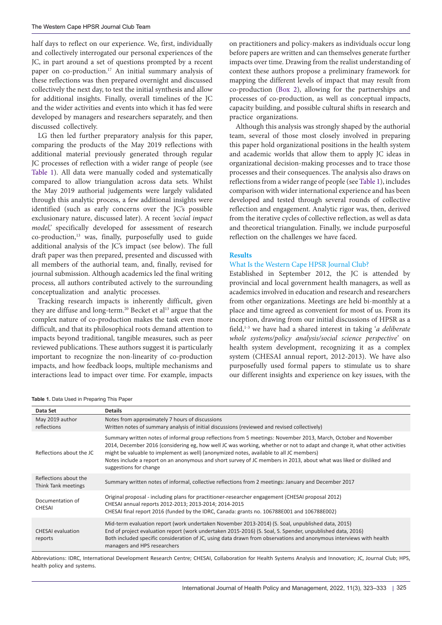half days to reflect on our experience. We, first, individually and collectively interrogated our personal experiences of the JC, in part around a set of questions prompted by a recent paper on co-production.17 An initial summary analysis of these reflections was then prepared overnight and discussed collectively the next day, to test the initial synthesis and allow for additional insights. Finally, overall timelines of the JC and the wider activities and events into which it has fed were developed by managers and researchers separately, and then discussed collectively.

LG then led further preparatory analysis for this paper, comparing the products of the May 2019 reflections with additional material previously generated through regular JC processes of reflection with a wider range of people (see [Table 1\)](#page-2-0). All data were manually coded and systematically compared to allow triangulation across data sets. Whilst the May 2019 authorial judgements were largely validated through this analytic process, a few additional insights were identified (such as early concerns over the JC's possible exclusionary nature, discussed later). A recent *'social impact model,'* specifically developed for assessment of research co-production,13 was, finally, purposefully used to guide additional analysis of the JC's impact (see below). The full draft paper was then prepared, presented and discussed with all members of the authorial team, and, finally, revised for journal submission. Although academics led the final writing process, all authors contributed actively to the surrounding conceptualization and analytic processes.

Tracking research impacts is inherently difficult, given they are diffuse and long-term.<sup>20</sup> Becket et al<sup>13</sup> argue that the complex nature of co-production makes the task even more difficult, and that its philosophical roots demand attention to impacts beyond traditional, tangible measures, such as peer reviewed publications. These authors suggest it is particularly important to recognize the non-linearity of co-production impacts, and how feedback loops, multiple mechanisms and interactions lead to impact over time. For example, impacts

on practitioners and policy-makers as individuals occur long before papers are written and can themselves generate further impacts over time. Drawing from the realist understanding of context these authors propose a preliminary framework for mapping the different levels of impact that may result from co-production ([Box 2](#page-3-0)), allowing for the partnerships and processes of co-production, as well as conceptual impacts, capacity building, and possible cultural shifts in research and practice organizations.

Although this analysis was strongly shaped by the authorial team, several of those most closely involved in preparing this paper hold organizational positions in the health system and academic worlds that allow them to apply JC ideas in organizational decision-making processes and to trace those processes and their consequences. The analysis also draws on reflections from a wider range of people (see [Table 1](#page-2-0)), includes comparison with wider international experience and has been developed and tested through several rounds of collective reflection and engagement. Analytic rigor was, then, derived from the iterative cycles of collective reflection, as well as data and theoretical triangulation. Finally, we include purposeful reflection on the challenges we have faced.

## **Results**

## What Is the Western Cape HPSR Journal Club?

Established in September 2012, the JC is attended by provincial and local government health managers, as well as academics involved in education and research and researchers from other organizations. Meetings are held bi-monthly at a place and time agreed as convenient for most of us. From its inception, drawing from our initial discussions of HPSR as a field,1-3 we have had a shared interest in taking '*a deliberate whole systems/policy analysis/social science perspective'* on health system development, recognizing it as a complex system (CHESAI annual report, 2012-2013). We have also purposefully used formal papers to stimulate us to share our different insights and experience on key issues, with the

<span id="page-2-0"></span>**Table 1.** Data Used in Preparing This Paper

| Data Set                                     | <b>Details</b>                                                                                                                                                                                                                                                                                                                                                                                                                                                                            |  |
|----------------------------------------------|-------------------------------------------------------------------------------------------------------------------------------------------------------------------------------------------------------------------------------------------------------------------------------------------------------------------------------------------------------------------------------------------------------------------------------------------------------------------------------------------|--|
| May 2019 author<br>reflections               | Notes from approximately 7 hours of discussions<br>Written notes of summary analysis of initial discussions (reviewed and revised collectively)                                                                                                                                                                                                                                                                                                                                           |  |
| Reflections about the JC                     | Summary written notes of informal group reflections from 5 meetings: November 2013, March, October and November<br>2014, December 2016 (considering eg, how well JC was working, whether or not to adapt and change it, what other activities<br>might be valuable to implement as well) (anonymized notes, available to all JC members)<br>Notes include a report on an anonymous and short survey of JC members in 2013, about what was liked or disliked and<br>suggestions for change |  |
| Reflections about the<br>Think Tank meetings | Summary written notes of informal, collective reflections from 2 meetings: January and December 2017                                                                                                                                                                                                                                                                                                                                                                                      |  |
| Documentation of<br><b>CHESAI</b>            | Original proposal - including plans for practitioner-researcher engagement (CHESAI proposal 2012)<br>CHESAI annual reports 2012-2013; 2013-2014; 2014-2015<br>CHESAI final report 2016 (funded by the IDRC, Canada: grants no. 106788E001 and 106788E002)                                                                                                                                                                                                                                 |  |
| <b>CHESAI</b> evaluation<br>reports          | Mid-term evaluation report (work undertaken November 2013-2014) (S. Soal, unpublished data, 2015)<br>End of project evaluation report (work undertaken 2015-2016) (S. Soal, S. Spender, unpublished data, 2016)<br>Both included specific consideration of JC, using data drawn from observations and anonymous interviews with health<br>managers and HPS researchers                                                                                                                    |  |

Abbreviations: IDRC, International Development Research Centre; CHESAI, Collaboration for Health Systems Analysis and Innovation; JC, Journal Club; HPS, health policy and systems.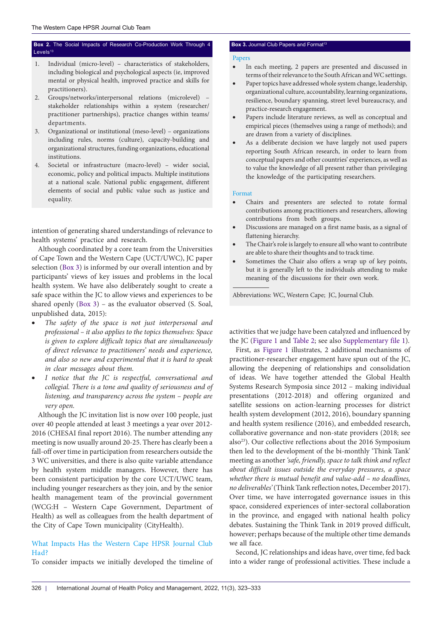## <span id="page-3-0"></span>**Box 2.** The Social Impacts of Research Co-Production Work Through 4 Levels<sup>13</sup>

- 1. Individual (micro-level) characteristics of stakeholders, including biological and psychological aspects (ie, improved mental or physical health, improved practice and skills for practitioners).
- 2. Groups/networks/interpersonal relations (microlevel) stakeholder relationships within a system (researcher/ practitioner partnerships), practice changes within teams/ departments.
- 3. Organizational or institutional (meso-level) organizations including rules, norms (culture), capacity-building and organizational structures, funding organizations, educational institutions.
- 4. Societal or infrastructure (macro-level) wider social, economic, policy and political impacts. Multiple institutions at a national scale. National public engagement, different elements of social and public value such as justice and equality.

intention of generating shared understandings of relevance to health systems' practice and research.

Although coordinated by a core team from the Universities of Cape Town and the Western Cape (UCT/UWC), JC paper selection ([Box 3\)](#page-3-1) is informed by our overall intention and by participants' views of key issues and problems in the local health system. We have also deliberately sought to create a safe space within the JC to allow views and experiences to be shared openly [\(Box 3](#page-3-1)) – as the evaluator observed (S. Soal, unpublished data, 2015):

- The safety of the space is not just interpersonal and *professional – it also applies to the topics themselves: Space is given to explore difficult topics that are simultaneously of direct relevance to practitioners' needs and experience, and also so new and experimental that it is hard to speak in clear messages about them.*
- I notice that the JC is respectful, conversational and *collegial. There is a tone and quality of seriousness and of listening, and transparency across the system – people are very open.*

Although the JC invitation list is now over 100 people, just over 40 people attended at least 3 meetings a year over 2012- 2016 (CHESAI final report 2016). The number attending any meeting is now usually around 20-25. There has clearly been a fall-off over time in participation from researchers outside the 3 WC universities, and there is also quite variable attendance by health system middle managers. However, there has been consistent participation by the core UCT/UWC team, including younger researchers as they join, and by the senior health management team of the provincial government (WCG:H – Western Cape Government, Department of Health) as well as colleagues from the health department of the City of Cape Town municipality (CityHealth).

## What Impacts Has the Western Cape HPSR Journal Club Had?

To consider impacts we initially developed the timeline of

## <span id="page-3-1"></span>**Box 3.** Journal Club Papers and Format<sup>13</sup>

## Papers

- • In each meeting, 2 papers are presented and discussed in terms of their relevance to the South African and WC settings.
- Paper topics have addressed whole system change, leadership, organizational culture, accountability, learning organizations, resilience, boundary spanning, street level bureaucracy, and practice-research engagement.
- Papers include literature reviews, as well as conceptual and empirical pieces (themselves using a range of methods); and are drawn from a variety of disciplines.
- As a deliberate decision we have largely not used papers reporting South African research, in order to learn from conceptual papers and other countries' experiences, as well as to value the knowledge of all present rather than privileging the knowledge of the participating researchers.

#### Format

- Chairs and presenters are selected to rotate formal contributions among practitioners and researchers, allowing contributions from both groups.
- Discussions are managed on a first name basis, as a signal of flattening hierarchy.
- The Chair's role is largely to ensure all who want to contribute are able to share their thoughts and to track time.
- Sometimes the Chair also offers a wrap up of key points, but it is generally left to the individuals attending to make meaning of the discussions for their own work.

Abbreviations: WC, Western Cape; JC, Journal Club.

activities that we judge have been catalyzed and influenced by the JC ([Figure 1](#page-4-0) and [Table 2;](#page-5-0) see also [Supplementary file 1](#page-9-2)).

First, as [Figure 1](#page-4-0) illustrates, 2 additional mechanisms of practitioner-researcher engagement have spun out of the JC, allowing the deepening of relationships and consolidation of ideas. We have together attended the Global Health Systems Research Symposia since 2012 – making individual presentations (2012-2018) and offering organized and satellite sessions on action-learning processes for district health system development (2012, 2016), boundary spanning and health system resilience (2016), and embedded research, collaborative governance and non-state providers (2018; see also<sup>23</sup>). Our collective reflections about the 2016 Symposium then led to the development of the bi-monthly 'Think Tank' meeting as another *'safe, friendly, space to talk think and reflect about difficult issues outside the everyday pressures, a space whether there is mutual benefit and value-add – no deadlines, no deliverables'* (Think Tank reflection notes, December 2017). Over time, we have interrogated governance issues in this space, considered experiences of inter-sectoral collaboration in the province, and engaged with national health policy debates. Sustaining the Think Tank in 2019 proved difficult, however; perhaps because of the multiple other time demands we all face.

Second, JC relationships and ideas have, over time, fed back into a wider range of professional activities. These include a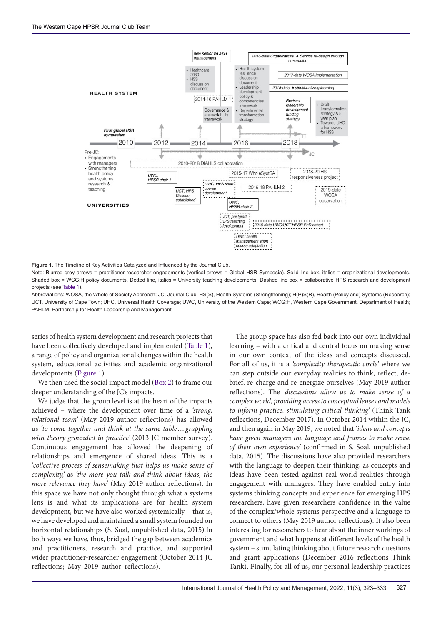<span id="page-4-0"></span>

**Figure 1.** The Timeline of Key Activities Catalyzed and Influenced by the Journal Club.

Note: Blurred grey arrows = practitioner-researcher engagements (vertical arrows = Global HSR Symposia). Solid line box, italics = organizational developments. Shaded box = WCG:H policy documents. Dotted line, italics = University teaching developments. Dashed line box = collaborative HPS research and development projects (see [Table 1\)](#page-2-0).

Abbreviations: WOSA, the Whole of Society Approach; JC, Journal Club; HS(S), Health Systems (Strengthening); H(P)S(R), Health (Policy and) Systems (Research); UCT, University of Cape Town; UHC, Universal Health Coverage; UWC, University of the Western Cape; WCG:H, Western Cape Government, Department of Health; PAHLM, Partnership for Health Leadership and Management.

series of health system development and research projects that have been collectively developed and implemented ([Table 1\)](#page-2-0), a range of policy and organizational changes within the health system, educational activities and academic organizational developments [\(Figure 1](#page-4-0)).

We then used the social impact model [\(Box 2\)](#page-3-0) to frame our deeper understanding of the JC's impacts.

We judge that the group level is at the heart of the impacts achieved – where the development over time of a *'strong, relational team'* (May 2019 author reflections) has allowed us *'to come together and think at the same table…grappling with theory grounded in practice'* (2013 JC member survey). Continuous engagement has allowed the deepening of relationships and emergence of shared ideas. This is a '*collective process of sensemaking that helps us make sense of complexity,'* as *'the more you talk and think about ideas, the more relevance they have'* (May 2019 author reflections). In this space we have not only thought through what a systems lens is and what its implications are for health system development, but we have also worked systemically – that is, we have developed and maintained a small system founded on horizontal relationships (S. Soal, unpublished data, 2015).In both ways we have, thus, bridged the gap between academics and practitioners, research and practice, and supported wider practitioner-researcher engagement (October 2014 JC reflections; May 2019 author reflections).

The group space has also fed back into our own individual learning – with a critical and central focus on making sense in our own context of the ideas and concepts discussed. For all of us, it is a *'complexity therapeutic circle'* where we can step outside our everyday realities to think, reflect, debrief, re-charge and re-energize ourselves (May 2019 author reflections). The *'discussions allow us to make sense of a complex world, providing access to conceptual lenses and models to inform practice, stimulating critical thinking'* (Think Tank reflections, December 2017). In October 2014 within the JC, and then again in May 2019, we noted that *'ideas and concepts have given managers the language and frames to make sense of their own experience'* (confirmed in S. Soal, unpublished data, 2015). The discussions have also provided researchers with the language to deepen their thinking, as concepts and ideas have been tested against real world realities through engagement with managers. They have enabled entry into systems thinking concepts and experience for emerging HPS researchers, have given researchers confidence in the value of the complex/whole systems perspective and a language to connect to others (May 2019 author reflections). It also been interesting for researchers to hear about the inner workings of government and what happens at different levels of the health system – stimulating thinking about future research questions and grant applications (December 2016 reflections Think Tank). Finally, for all of us, our personal leadership practices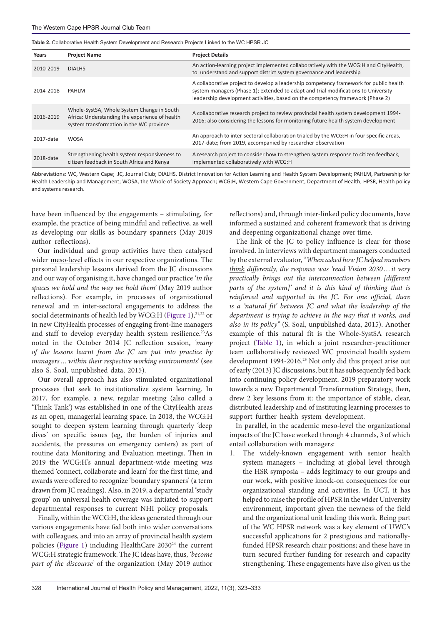<span id="page-5-0"></span>**Table 2.** Collaborative Health System Development and Research Projects Linked to the WC HPSR JC

| Years     | <b>Project Name</b>                                                                                                                      | <b>Project Details</b>                                                                                                                                                                                                                                         |
|-----------|------------------------------------------------------------------------------------------------------------------------------------------|----------------------------------------------------------------------------------------------------------------------------------------------------------------------------------------------------------------------------------------------------------------|
| 2010-2019 | <b>DIALHS</b>                                                                                                                            | An action-learning project implemented collaboratively with the WCG:H and CityHealth,<br>to understand and support district system governance and leadership                                                                                                   |
| 2014-2018 | PAHLM                                                                                                                                    | A collaborative project to develop a leadership competency framework for public health<br>system managers (Phase 1); extended to adapt and trial modifications to University<br>leadership development activities, based on the competency framework (Phase 2) |
| 2016-2019 | Whole-SystSA, Whole System Change in South<br>Africa: Understanding the experience of health<br>system transformation in the WC province | A collaborative research project to review provincial health system development 1994-<br>2016; also considering the lessons for monitoring future health system development                                                                                    |
| 2017-date | <b>WOSA</b>                                                                                                                              | An approach to inter-sectoral collaboration trialed by the WCG:H in four specific areas,<br>2017-date; from 2019, accompanied by researcher observation                                                                                                        |
| 2018-date | Strengthening health system responsiveness to<br>citizen feedback in South Africa and Kenya                                              | A research project to consider how to strengthen system response to citizen feedback,<br>implemented collaboratively with WCG:H                                                                                                                                |

Abbreviations: WC, Western Cape; JC, Journal Club; DIALHS, District Innovation for Action Learning and Health System Development; PAHLM, Partnership for Health Leadership and Management; WOSA, the Whole of Society Approach; WCG:H, Western Cape Government, Department of Health; HPSR, Health policy and systems research.

have been influenced by the engagements – stimulating, for example, the practice of being mindful and reflective, as well as developing our skills as boundary spanners (May 2019 author reflections).

Our individual and group activities have then catalysed wider meso-level effects in our respective organizations. The personal leadership lessons derived from the JC discussions and our way of organising it, have changed our practice *'in the spaces we hold and the way we hold them'* (May 2019 author reflections). For example, in processes of organizational renewal and in inter-sectoral engagements to address the social determinants of health led by WCG:H [\(Figure 1](#page-4-0)),<sup>21,22</sup> or in new CityHealth processes of engaging front-line managers and staff to develop everyday health system resilience.<sup>23</sup>As noted in the October 2014 JC reflection session, *'many of the lessons learnt from the JC are put into practice by managers…within their respective working environments'* (see also S. Soal, unpublished data, 2015).

Our overall approach has also stimulated organizational processes that seek to institutionalize system learning. In 2017, for example, a new, regular meeting (also called a 'Think Tank') was established in one of the CityHealth areas as an open, managerial learning space. In 2018, the WCG:H sought to deepen system learning through quarterly 'deep dives' on specific issues (eg, the burden of injuries and accidents, the pressures on emergency centers) as part of routine data Monitoring and Evaluation meetings. Then in 2019 the WCG:H's annual department-wide meeting was themed 'connect, collaborate and learn' for the first time, and awards were offered to recognize 'boundary spanners' (a term drawn from JC readings). Also, in 2019, a departmental 'study group' on universal health coverage was initiated to support departmental responses to current NHI policy proposals.

Finally, within the WCG:H, the ideas generated through our various engagements have fed both into wider conversations with colleagues, and into an array of provincial health system policies ([Figure 1](#page-4-0)) including HealthCare 2030<sup>24</sup> the current WCG:H strategic framework. The JC ideas have, thus, *'become part of the discourse'* of the organization (May 2019 author

reflections) and, through inter-linked policy documents, have informed a sustained and coherent framework that is driving and deepening organizational change over time.

The link of the JC to policy influence is clear for those involved. In interviews with department managers conducted by the external evaluator, "*When asked how JC helped members think differently, the response was 'read Vision 2030…it very practically brings out the interconnection between [different parts of the system]' and it is this kind of thinking that is reinforced and supported in the JC. For one official, there is a 'natural fit' between JC and what the leadership of the department is trying to achieve in the way that it works, and also in its policy"* (S. Soal, unpublished data, 2015). Another example of this natural fit is the Whole-SystSA research project [\(Table 1\)](#page-2-0), in which a joint researcher-practitioner team collaboratively reviewed WC provincial health system development 1994-2016.<sup>25</sup> Not only did this project arise out of early (2013) JC discussions, but it has subsequently fed back into continuing policy development. 2019 preparatory work towards a new Departmental Transformation Strategy, then, drew 2 key lessons from it: the importance of stable, clear, distributed leadership and of instituting learning processes to support further health system development.

In parallel, in the academic meso-level the organizational impacts of the JC have worked through 4 channels, 3 of which entail collaboration with managers:

1. The widely-known engagement with senior health system managers – including at global level through the HSR symposia – adds legitimacy to our groups and our work, with positive knock-on consequences for our organizational standing and activities. In UCT, it has helped to raise the profile of HPSR in the wider University environment, important given the newness of the field and the organizational unit leading this work. Being part of the WC HPSR network was a key element of UWC's successful applications for 2 prestigious and nationallyfunded HPSR research chair positions; and these have in turn secured further funding for research and capacity strengthening. These engagements have also given us the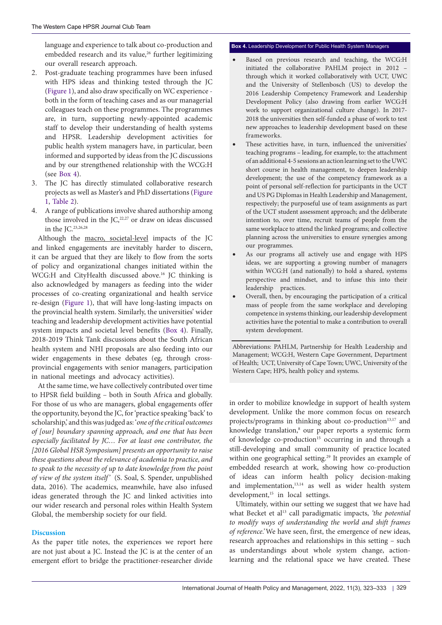language and experience to talk about co-production and embedded research and its value,<sup>26</sup> further legitimizing our overall research approach.

- 2. Post-graduate teaching programmes have been infused with HPS ideas and thinking tested through the JC ([Figure 1\)](#page-4-0), and also draw specifically on WC experience both in the form of teaching cases and as our managerial colleagues teach on these programmes. The programmes are, in turn, supporting newly-appointed academic staff to develop their understanding of health systems and HPSR. Leadership development activities for public health system managers have, in particular, been informed and supported by ideas from the JC discussions and by our strengthened relationship with the WCG:H (see [Box 4\)](#page-6-0).
- 3. The JC has directly stimulated collaborative research projects as well as Master's and PhD dissertations ([Figure](#page-4-0) [1](#page-4-0), [Table 2\)](#page-5-0).
- 4. A range of publications involve shared authorship among those involved in the  $JC<sub>1</sub><sup>22,27</sup>$  or draw on ideas discussed in the JC.23,26,28

Although the macro, societal-level impacts of the JC and linked engagements are inevitably harder to discern, it can be argued that they are likely to flow from the sorts of policy and organizational changes initiated within the WCG:H and CityHealth discussed above.<sup>16</sup> JC thinking is also acknowledged by managers as feeding into the wider processes of co-creating organizational and health service re-design [\(Figure 1](#page-4-0)), that will have long-lasting impacts on the provincial health system. Similarly, the universities' wider teaching and leadership development activities have potential system impacts and societal level benefits [\(Box 4\)](#page-6-0). Finally, 2018-2019 Think Tank discussions about the South African health system and NHI proposals are also feeding into our wider engagements in these debates (eg, through crossprovincial engagements with senior managers, participation in national meetings and advocacy activities).

At the same time, we have collectively contributed over time to HPSR field building – both in South Africa and globally. For those of us who are managers, global engagements offer the opportunity, beyond the JC, for 'practice speaking 'back' to scholarship,' and this was judged as: '*one of the critical outcomes of [our] boundary spanning approach, and one that has been especially facilitated by JC… For at least one contributor, the [2016 Global HSR Symposium] presents an opportunity to raise these questions about the relevance of academia to practice, and to speak to the necessity of up to date knowledge from the point of view of the system itself'* (S. Soal, S. Spender, unpublished data, 2016). The academics, meanwhile, have also infused ideas generated through the JC and linked activities into our wider research and personal roles within Health System Global, the membership society for our field.

## **Discussion**

As the paper title notes, the experiences we report here are not just about a JC. Instead the JC is at the center of an emergent effort to bridge the practitioner-researcher divide

## <span id="page-6-0"></span>**Box 4.** Leadership Development for Public Health System Managers

- Based on previous research and teaching, the WCG:H initiated the collaborative PAHLM project in 2012 – through which it worked collaboratively with UCT, UWC and the University of Stellenbosch (US) to develop the 2016 Leadership Competency Framework and Leadership Development Policy (also drawing from earlier WCG:H work to support organizational culture change). In 2017- 2018 the universities then self-funded a phase of work to test new approaches to leadership development based on these frameworks.
- These activities have, in turn, influenced the universities' teaching programs – leading, for example, to: the attachment of an additional 4-5 sessions an action learning set to the UWC short course in health management, to deepen leadership development; the use of the competency framework as a point of personal self-reflection for participants in the UCT and US PG Diplomas in Health Leadership and Management, respectively; the purposeful use of team assignments as part of the UCT student assessment approach; and the deliberate intention to, over time, recruit teams of people from the same workplace to attend the linked programs; and collective planning across the universities to ensure synergies among our programmes.
- As our programs all actively use and engage with HPS ideas, we are supporting a growing number of managers within WCG:H (and nationally) to hold a shared, systems perspective and mindset, and to infuse this into their leadership practices.
- Overall, then, by encouraging the participation of a critical mass of people from the same workplace and developing competence in systems thinking, our leadership development activities have the potential to make a contribution to overall system development.

Abbreviations: PAHLM, Partnership for Health Leadership and Management; WCG:H, Western Cape Government, Department of Health; UCT, University of Cape Town; UWC, University of the Western Cape; HPS, health policy and systems.

in order to mobilize knowledge in support of health system development. Unlike the more common focus on research projects/programs in thinking about co-production<sup>13,17</sup> and knowledge translation,<sup>8</sup> our paper reports a systemic form of knowledge co-production<sup>15</sup> occurring in and through a still-developing and small community of practice located within one geographical setting.<sup>29</sup> It provides an example of embedded research at work, showing how co-production of ideas can inform health policy decision-making and implementation,<sup>13,14</sup> as well as wider health system development,<sup>15</sup> in local settings.

Ultimately, within our setting we suggest that we have had what Becket et al<sup>13</sup> call paradigmatic impacts, 'the potential *to modify ways of understanding the world and shift frames of reference.'* We have seen, first, the emergence of new ideas, research approaches and relationships in this setting – such as understandings about whole system change, actionlearning and the relational space we have created. These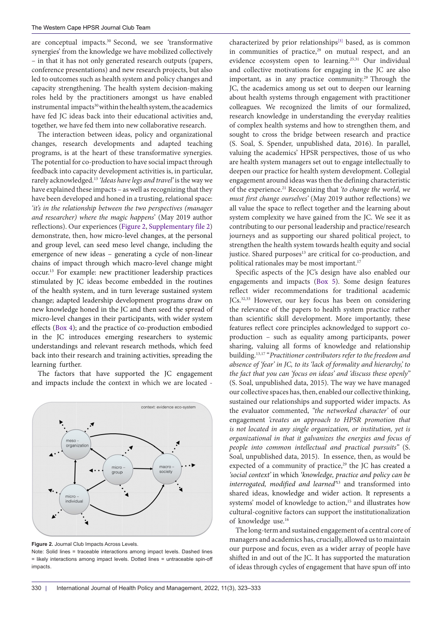are conceptual impacts.<sup>30</sup> Second, we see 'transformative synergies' from the knowledge we have mobilized collectively – in that it has not only generated research outputs (papers, conference presentations) and new research projects, but also led to outcomes such as health system and policy changes and capacity strengthening. The health system decision-making roles held by the practitioners amongst us have enabled instrumental impacts<sup>30</sup> within the health system, the academics have fed JC ideas back into their educational activities and, together, we have fed them into new collaborative research.

The interaction between ideas, policy and organizational changes, research developments and adapted teaching programs, is at the heart of these transformative synergies. The potential for co-production to have social impact through feedback into capacity development activities is, in particular, rarely acknowledged.13 *'Ideas have legs and travel'* is the way we have explained these impacts – as well as recognizing that they have been developed and honed in a trusting, relational space: *'it's in the relationship between the two perspectives (manager and researcher) where the magic happens*' (May 2019 author reflections). Our experiences [\(Figure 2](#page-7-0), [Supplementary file 2\)](#page-9-3) demonstrate, then, how micro-level changes, at the personal and group level, can seed meso level change, including the emergence of new ideas – generating a cycle of non-linear chains of impact through which macro-level change might occur.13 For example: new practitioner leadership practices stimulated by JC ideas become embedded in the routines of the health system, and in turn leverage sustained system change; adapted leadership development programs draw on new knowledge honed in the JC and then seed the spread of micro-level changes in their participants, with wider system effects [\(Box 4\)](#page-6-0); and the practice of co-production embodied in the JC introduces emerging researchers to systemic understandings and relevant research methods, which feed back into their research and training activities, spreading the learning further.

The factors that have supported the JC engagement and impacts include the context in which we are located -

<span id="page-7-0"></span>

**Figure 2.** Journal Club Impacts Across Levels.

Note: Solid lines = traceable interactions among impact levels. Dashed lines = likely interactions among impact levels. Dotted lines = untraceable spin-off impacts.

characterized by prior relationships<sup>[3]</sup> based, as is common in communities of practice, $29$  on mutual respect, and an evidence ecosystem open to learning.<sup>25,31</sup> Our individual and collective motivations for engaging in the JC are also important, as in any practice community.<sup>29</sup> Through the JC, the academics among us set out to deepen our learning about health systems through engagement with practitioner colleagues. We recognized the limits of our formalized, research knowledge in understanding the everyday realities of complex health systems and how to strengthen them, and sought to cross the bridge between research and practice (S. Soal, S. Spender, unpublished data, 2016). In parallel, valuing the academics' HPSR perspectives, those of us who are health system managers set out to engage intellectually to deepen our practice for health system development. Collegial engagement around ideas was then the defining characteristic of the experience.21 Recognizing that *'to change the world, we must first change ourselves'* (May 2019 author reflections) we all value the space to reflect together and the learning about system complexity we have gained from the JC. We see it as contributing to our personal leadership and practice/research journeys and as supporting our shared political project, to strengthen the health system towards health equity and social justice. Shared purposes<sup>13</sup> are critical for co-production, and political rationales may be most important.<sup>17</sup>

Specific aspects of the JC's design have also enabled our engagements and impacts [\(Box 5\)](#page-8-0). Some design features reflect wider recommendations for traditional academic JCs.<sup>32,33</sup> However, our key focus has been on considering the relevance of the papers to health system practice rather than scientific skill development. More importantly, these features reflect core principles acknowledged to support coproduction – such as equality among participants, power sharing, valuing all forms of knowledge and relationship building.13,17 "*Practitioner contributors refer to the freedom and absence of 'fear' in JC, to its 'lack of formality and hierarchy,' to the fact that you can 'focus on ideas' and 'discuss these openly"*  (S. Soal, unpublished data, 2015). The way we have managed our collective spaces has, then, enabled our collective thinking, sustained our relationships and supported wider impacts. As the evaluator commented, *"the networked character'* of our engagement *'creates an approach to HPSR promotion that is not located in any single organization, or institution, yet is organizational in that it galvanizes the energies and focus of people into common intellectual and practical pursuits"* (S. Soal, unpublished data, 2015).In essence, then, as would be expected of a community of practice,<sup>29</sup> the JC has created a *'social context'* in which *'knowledge, practice and policy can be interrogated, modified and learned'*13 and transformed into shared ideas, knowledge and wider action. It represents a systems' model of knowledge to action,<sup>15</sup> and illustrates how cultural-cognitive factors can support the institutionalization of knowledge use.16

The long-term and sustained engagement of a central core of managers and academics has, crucially, allowed us to maintain our purpose and focus, even as a wider array of people have shifted in and out of the JC. It has supported the maturation of ideas through cycles of engagement that have spun off into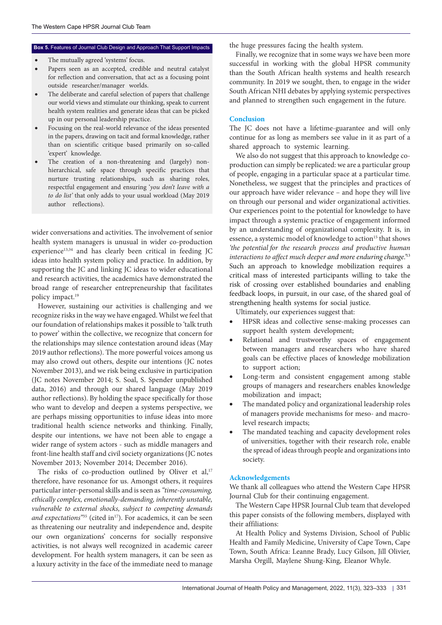## <span id="page-8-0"></span>Box 5. Features of Journal Club Design and Approach That Support Impacts the huge pressures facing the health system.

- The mutually agreed 'systems' focus.
- Papers seen as an accepted, credible and neutral catalyst for reflection and conversation, that act as a focusing point outside researcher/manager worlds.
- The deliberate and careful selection of papers that challenge our world views and stimulate our thinking, speak to current health system realities and generate ideas that can be picked up in our personal leadership practice.
- Focusing on the real-world relevance of the ideas presented in the papers, drawing on tacit and formal knowledge, rather than on scientific critique based primarily on so-called 'expert' knowledge.
- The creation of a non-threatening and (largely) nonhierarchical, safe space through specific practices that nurture trusting relationships, such as sharing roles, respectful engagement and ensuring '*you don't leave with a to do list'* that only adds to your usual workload (May 2019 author reflections).

wider conversations and activities. The involvement of senior health system managers is unusual in wider co-production experience<sup>13,34</sup> and has clearly been critical in feeding JC ideas into health system policy and practice. In addition, by supporting the JC and linking JC ideas to wider educational and research activities, the academics have demonstrated the broad range of researcher entrepreneurship that facilitates policy impact.19

However, sustaining our activities is challenging and we recognize risks in the way we have engaged. Whilst we feel that our foundation of relationships makes it possible to 'talk truth to power' within the collective, we recognize that concern for the relationships may silence contestation around ideas (May 2019 author reflections). The more powerful voices among us may also crowd out others, despite our intentions (JC notes November 2013), and we risk being exclusive in participation (JC notes November 2014; S. Soal, S. Spender unpublished data, 2016) and through our shared language (May 2019 author reflections). By holding the space specifically for those who want to develop and deepen a systems perspective, we are perhaps missing opportunities to infuse ideas into more traditional health science networks and thinking. Finally, despite our intentions, we have not been able to engage a wider range of system actors - such as middle managers and front-line health staff and civil society organizations (JC notes November 2013; November 2014; December 2016).

The risks of co-production outlined by Oliver et al,<sup>17</sup> therefore, have resonance for us. Amongst others, it requires particular inter-personal skills and is seen as *"time-consuming, ethically complex, emotionally-demanding, inherently unstable, vulnerable to external shocks, subject to competing demands*  and expectations<sup>"35</sup> (cited in<sup>17</sup>). For academics, it can be seen as threatening our neutrality and independence and, despite our own organizations' concerns for socially responsive activities, is not always well recognized in academic career development. For health system managers, it can be seen as a luxury activity in the face of the immediate need to manage

Finally, we recognize that in some ways we have been more successful in working with the global HPSR community than the South African health systems and health research community. In 2019 we sought, then, to engage in the wider South African NHI debates by applying systemic perspectives and planned to strengthen such engagement in the future.

## **Conclusion**

The JC does not have a lifetime-guarantee and will only continue for as long as members see value in it as part of a shared approach to systemic learning.

We also do not suggest that this approach to knowledge coproduction can simply be replicated: we are a particular group of people, engaging in a particular space at a particular time. Nonetheless, we suggest that the principles and practices of our approach have wider relevance – and hope they will live on through our personal and wider organizational activities. Our experiences point to the potential for knowledge to have impact through a systemic practice of engagement informed by an understanding of organizational complexity. It is, in essence, a systemic model of knowledge to action<sup>15</sup> that shows *'the potential for the research process and productive human interactions to affect much deeper and more enduring change.'*<sup>13</sup> Such an approach to knowledge mobilization requires a critical mass of interested participants willing to take the risk of crossing over established boundaries and enabling feedback loops, in pursuit, in our case, of the shared goal of strengthening health systems for social justice.

Ultimately, our experiences suggest that:

- HPSR ideas and collective sense-making processes can support health system development;
- Relational and trustworthy spaces of engagement between managers and researchers who have shared goals can be effective places of knowledge mobilization to support action;
- Long-term and consistent engagement among stable groups of managers and researchers enables knowledge mobilization and impact;
- The mandated policy and organizational leadership roles of managers provide mechanisms for meso- and macrolevel research impacts;
- The mandated teaching and capacity development roles of universities, together with their research role, enable the spread of ideas through people and organizations into society.

## **Acknowledgements**

We thank all colleagues who attend the Western Cape HPSR Journal Club for their continuing engagement.

The Western Cape HPSR Journal Club team that developed this paper consists of the following members, displayed with their affiliations:

At Health Policy and Systems Division, School of Public Health and Family Medicine, University of Cape Town, Cape Town, South Africa: Leanne Brady, Lucy Gilson, Jill Olivier, Marsha Orgill, Maylene Shung-King, Eleanor Whyle.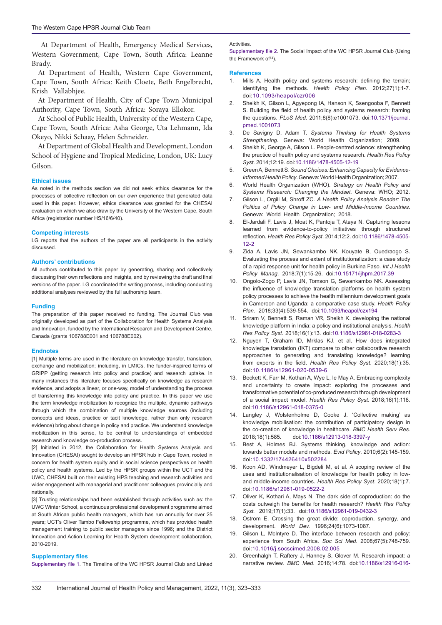At Department of Health, Emergency Medical Services, Western Government, Cape Town, South Africa: Leanne Brady.

At Department of Health, Western Cape Government, Cape Town, South Africa: Keith Cloete, Beth Engelbrecht, Krish Vallabhjee.

At Department of Health, City of Cape Town Municipal Authority, Cape Town, South Africa: Soraya Ellokor.

At School of Public Health, University of the Western Cape, Cape Town, South Africa: Asha George, Uta Lehmann, Ida Okeyo, Nikki Schaay, Helen Schneider.

At Department of Global Health and Development, London School of Hygiene and Tropical Medicine, London, UK: Lucy Gilson.

#### **Ethical issues**

As noted in the methods section we did not seek ethics clearance for the processes of collective reflection on our *own* experience that generated data used in this paper. However, ethics clearance was granted for the CHESAI evaluation on which we also draw by the University of the Western Cape, South Africa (registration number HS/16/6/40).

#### **Competing interests**

LG reports that the authors of the paper are all participants in the activity discussed.

#### **Authors' contributions**

All authors contributed to this paper by generating, sharing and collectively discussing their own reflections and insights, and by reviewing the draft and final versions of the paper. LG coordinated the writing process, including conducting additional analyses reviewed by the full authorship team.

### **Funding**

The preparation of this paper received no funding. The Journal Club was originally developed as part of the Collaboration for Health Systems Analysis and Innovation, funded by the International Research and Development Centre, Canada (grants 106788E001 and 106788E002).

#### **Endnotes**

<span id="page-9-0"></span>[1] Multiple terms are used in the literature on knowledge transfer, translation, exchange and mobilization; including, in LMICs, the funder-inspired terms of GRIPP (getting research into policy and practice) and research uptake. In many instances this literature focuses specifically on knowledge as research evidence, and adopts a linear, or one-way, model of understanding the process of transferring this knowledge into policy and practice. In this paper we use the term knowledge mobilization to recognize the multiple, dynamic pathways through which the combination of multiple knowledge sources (including concepts and ideas, practice or tacit knowledge, rather than only research evidence) bring about change in policy and practice. We understand knowledge mobilization in this sense, to be central to understandings of embedded research and knowledge co-production process.

<span id="page-9-1"></span>[2] Initiated in 2012, the Collaboration for Health Systems Analysis and Innovation (CHESAI) sought to develop an HPSR hub in Cape Town, rooted in concern for health system equity and in social science perspectives on health policy and health systems. Led by the HPSR groups within the UCT and the UWC, CHESAI built on their existing HPS teaching and research activities and wider engagement with managerial and practitioner colleagues provincially and nationally.

<span id="page-9-4"></span>[3] Trusting relationships had been established through activities such as: the UWC Winter School, a continuous professional development programme aimed at South African public health managers, which has run annually for over 25 years; UCT's Oliver Tambo Fellowship programme, which has provided health management training to public sector managers since 1996; and the District Innovation and Action Learning for Health System development collaboration, 2010-2019.

## **Supplementary files**

<span id="page-9-2"></span>[Supplementary file 1](https://www.ijhpm.com/data/ijhpm/news/Gilson-Supple-File-1-IJHPM.pdf). The Timeline of the WC HPSR Journal Club and Linked

#### <span id="page-9-3"></span>**Activities**

[Supplementary file 2](https://www.ijhpm.com/data/ijhpm/news/Gilson-Supple-File-2-IJHPM.pdf). The Social Impact of the WC HPSR Journal Club (Using the Framework of<sup>13</sup>).

#### **References**

- 1. Mills A. Health policy and systems research: defining the terrain; identifying the methods. *Health Policy Plan*. 2012;27(1):1-7. doi:[10.1093/heapol/czr006](https://doi.org/10.1093/heapol/czr006)
- 2. Sheikh K, Gilson L, Agyepong IA, Hanson K, Ssengooba F, Bennett S. Building the field of health policy and systems research: framing the questions. *PLoS Med*. 2011;8(8):e1001073. doi:[10.1371/journal.](https://doi.org/10.1371/journal.pmed.1001073) [pmed.1001073](https://doi.org/10.1371/journal.pmed.1001073)
- 3. De Savigny D, Adam T. *Systems Thinking for Health Systems Strengthening*. Geneva: World Health Organization; 2009.
- Sheikh K, George A, Gilson L. People-centred science: strengthening the practice of health policy and systems research. *Health Res Policy Syst*. 2014;12:19. doi:[10.1186/1478-4505-12-19](https://doi.org/10.1186/1478-4505-12-19)
- 5. Green A, Bennett S. *Sound Choices: Enhancing Capacity for Evidence-Informed Health Policy*. Geneva: World Health Organization; 2007.
- 6. World Health Organization (WHO). *Strategy on Health Policy and Systems Research: Changing the Mindset.* Geneva: WHO; 2012.
- 7. Gilson L, Orgill M, Shroff ZC. *A Health Policy Analysis Reader: The Politics of Policy Change in Low- and Middle-Income Countries*. Geneva: World Health Organization; 2018.
- 8. El-Jardali F, Lavis J, Moat K, Pantoja T, Ataya N. Capturing lessons learned from evidence-to-policy initiatives through structured reflection*. Health Res Policy Syst*. 2014;12:2. doi:[10.1186/1478-4505-](https://doi.org/10.1186/1478-4505-12-2) [12-2](https://doi.org/10.1186/1478-4505-12-2)
- 9. Zida A, Lavis JN, Sewankambo NK, Kouyate B, Ouedraogo S. Evaluating the process and extent of institutionalization: a case study of a rapid response unit for health policy in Burkina Faso. *Int J Health Policy Manag*. 2018;7(1):15-26. doi[:10.15171/ijhpm.2017.39](https://doi.org/10.15171/ijhpm.2017.39)
- 10. Ongolo-Zogo P, Lavis JN, Tomson G, Sewankambo NK. Assessing the influence of knowledge translation platforms on health system policy processes to achieve the health millennium development goals in Cameroon and Uganda: a comparative case study. *Health Policy Plan.* 2018;33(4):539-554. doi:[10.1093/heapol/czx194](https://doi.org/10.1093/heapol/czx194)
- 11. Sriram V, Bennett S, Raman VR, Sheikh K. developing the national knowledge platform in India: a policy and institutional analysis. *Health Res Policy Syst*. 2018;16(1):13. doi[:10.1186/s12961-018-0283-3](https://doi.org/10.1186/s12961-018-0283-3)
- 12. Nguyen T, Graham ID, Mrklas KJ, et al. How does integrated knowledge translation (IKT) compare to other collaborative research approaches to generating and translating knowledge? learning from experts in the field. *Health Res Policy Syst*. 2020;18(1):35. doi:[10.1186/s12961-020-0539-6](https://doi.org/10.1186/s12961-020-0539-6)
- 13. Beckett K, Farr M, Kothari A, Wye L, le May A. Embracing complexity and uncertainty to create impact: exploring the processes and transformative potential of co-produced research through development of a social impact model. *Health Res Policy Syst*. 2018;16(1):118. doi[:10.1186/s12961-018-0375-0](https://doi.org/10.1186/s12961-018-0375-0)
- 14. Langley J, Wolstenholme D, Cooke J. 'Collective making' as knowledge mobilisation: the contribution of participatory design in the co-creation of knowledge in healthcare. *BMC Health Serv Res.* 2018;18(1):585. doi[:10.1186/s12913-018-3397-y](https://doi.org/10.1186/s12913-018-3397-y)
- 15. Best A, Holmes BJ. Systems thinking, knowledge and action: towards better models and methods. *Evid Policy*. 2010;6(2):145-159. doi:[10.1332/174426410x502284](https://doi.org/10.1332/174426410x502284)
- 16. Koon AD, Windmeyer L, Bigdeli M, et al. A scoping review of the uses and institutionalisation of knowledge for health policy in lowand middle-income countries. *Health Res Policy Syst*. 2020;18(1):7. doi:[10.1186/s12961-019-0522-2](https://doi.org/10.1186/s12961-019-0522-2)
- 17. Oliver K, Kothari A, Mays N. The dark side of coproduction: do the costs outweigh the benefits for health research? *Health Res Policy Syst.* 2019;17(1):33. doi:[10.1186/s12961-019-0432-3](https://doi.org/10.1186/s12961-019-0432-3)
- 18. Ostrom E. Crossing the great divide: coproduction, synergy, and development. *World Dev.* 1996;24(6):1073-1087.
- 19. Gilson L, McIntyre D. The interface between research and policy: experience from South Africa. *Soc Sci Med*. 2008;67(5):748-759. doi:[10.1016/j.socscimed.2008.02.005](https://doi.org/10.1016/j.socscimed.2008.02.005)
- 20. Greenhalgh T, Raftery J, Hanney S, Glover M. Research impact: a narrative review. *BMC Med*. 2016;14:78. doi:[10.1186/s12916-016-](https://doi.org/10.1186/s12916-016-0620-8)